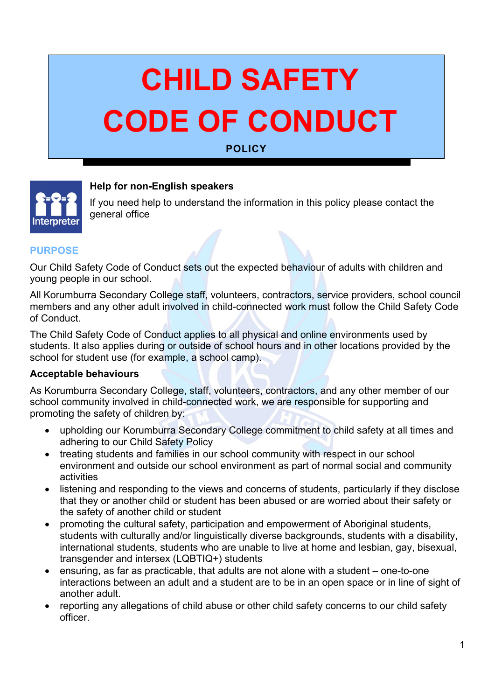# **CHILD SAFETY CODE OF CONDUCT**

## **POLICY**



# **Help for non-English speakers**

If you need help to understand the information in this policy please contact the general office 

#### **PURPOSE**

Our Child Safety Code of Conduct sets out the expected behaviour of adults with children and young people in our school.

All Korumburra Secondary College staff, volunteers, contractors, service providers, school council members and any other adult involved in child-connected work must follow the Child Safety Code of Conduct.

The Child Safety Code of Conduct applies to all physical and online environments used by students. It also applies during or outside of school hours and in other locations provided by the school for student use (for example, a school camp).

#### **Acceptable behaviours**

As Korumburra Secondary College, staff, volunteers, contractors, and any other member of our school community involved in child-connected work, we are responsible for supporting and promoting the safety of children by:

- upholding our Korumburra Secondary College commitment to child safety at all times and adhering to our Child Safety Policy
- treating students and families in our school community with respect in our school environment and outside our school environment as part of normal social and community activities
- listening and responding to the views and concerns of students, particularly if they disclose that they or another child or student has been abused or are worried about their safety or the safety of another child or student
- promoting the cultural safety, participation and empowerment of Aboriginal students, students with culturally and/or linguistically diverse backgrounds, students with a disability, international students, students who are unable to live at home and lesbian, gay, bisexual, transgender and intersex (LQBTIQ+) students
- ensuring, as far as practicable, that adults are not alone with a student one-to-one interactions between an adult and a student are to be in an open space or in line of sight of another adult.
- reporting any allegations of child abuse or other child safety concerns to our child safety officer.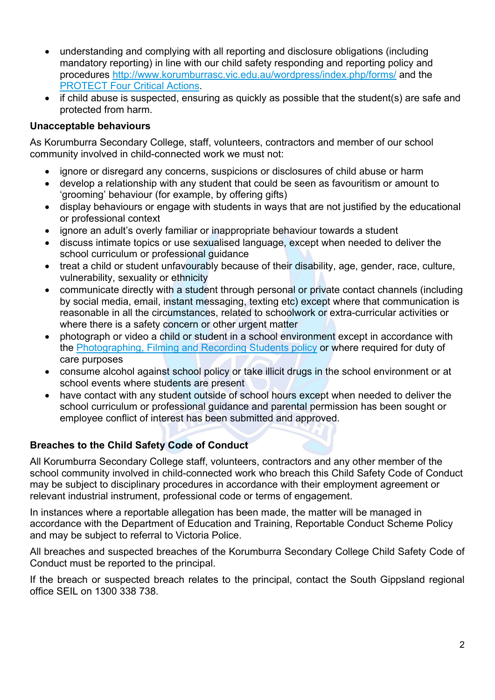- understanding and complying with all reporting and disclosure obligations (including mandatory reporting) in line with our child safety responding and reporting policy and procedures<http://www.korumburrasc.vic.edu.au/wordpress/index.php/forms/> and the [PROTECT Four Critical Actions.](https://www.education.vic.gov.au/Documents/about/programs/health/protect/FourCriticalActions_ChildAbuse.pdf)
- if child abuse is suspected, ensuring as quickly as possible that the student(s) are safe and protected from harm.

### **Unacceptable behaviours**

As Korumburra Secondary College, staff, volunteers, contractors and member of our school community involved in child-connected work we must not:

- ignore or disregard any concerns, suspicions or disclosures of child abuse or harm
- develop a relationship with any student that could be seen as favouritism or amount to 'grooming' behaviour (for example, by offering gifts)
- display behaviours or engage with students in ways that are not justified by the educational or professional context
- ignore an adult's overly familiar or inappropriate behaviour towards a student
- discuss intimate topics or use sexualised language, except when needed to deliver the school curriculum or professional guidance
- treat a child or student unfavourably because of their disability, age, gender, race, culture, vulnerability, sexuality or ethnicity
- communicate directly with a student through personal or private contact channels (including by social media, email, instant messaging, texting etc) except where that communication is reasonable in all the circumstances, related to schoolwork or extra-curricular activities or where there is a safety concern or other urgent matter
- photograph or video a child or student in a school environment except in accordance with the [Photographing, Filming and Recording Students policy](https://www2.education.vic.gov.au/pal/photographing-students/policy) or where required for duty of care purposes
- consume alcohol against school policy or take illicit drugs in the school environment or at school events where students are present
- have contact with any student outside of school hours except when needed to deliver the school curriculum or professional guidance and parental permission has been sought or employee conflict of interest has been submitted and approved.

## **Breaches to the Child Safety Code of Conduct**

All Korumburra Secondary College staff, volunteers, contractors and any other member of the school community involved in child-connected work who breach this Child Safety Code of Conduct may be subject to disciplinary procedures in accordance with their employment agreement or relevant industrial instrument, professional code or terms of engagement.

In instances where a reportable allegation has been made, the matter will be managed in accordance with the Department of Education and Training, Reportable Conduct Scheme Policy and may be subject to referral to Victoria Police.

All breaches and suspected breaches of the Korumburra Secondary College Child Safety Code of Conduct must be reported to the principal.

If the breach or suspected breach relates to the principal, contact the South Gippsland regional office SEIL on 1300 338 738.